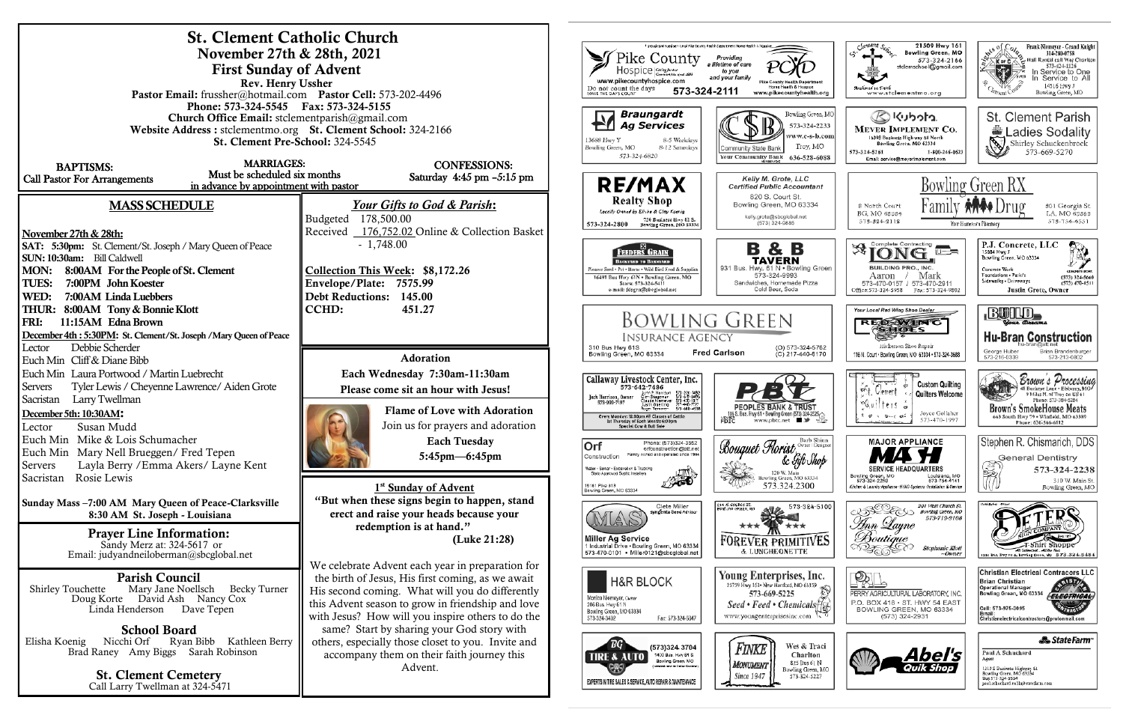| <b>St. Clement Catholic Church</b>                                                                           |                                                                                                                         |                                                                                                                                                                                       |
|--------------------------------------------------------------------------------------------------------------|-------------------------------------------------------------------------------------------------------------------------|---------------------------------------------------------------------------------------------------------------------------------------------------------------------------------------|
| November 27th & 28th, 2021                                                                                   | proud continued service of Pike County Health Department Home Health.<br>Pike County<br>Providing<br>a lifetime of care |                                                                                                                                                                                       |
| <b>First Sunday of Advent</b><br>Rev. Henry Ussher                                                           | Hospice Contractiveser<br>to you<br>and your family<br>www.pikecountyhospice.com                                        |                                                                                                                                                                                       |
| Pastor Email: frussher@hotmail.com Pastor Cell: 573-202-4496                                                 | Home Health & Hospice<br>Do not count the days<br>MAKE THE DAYS COUNT<br>573-324-2111<br>www.pikecountyhealth.org       |                                                                                                                                                                                       |
| Phone: 573-324-5545 Fax: 573-324-5155                                                                        |                                                                                                                         |                                                                                                                                                                                       |
| <b>Church Office Email:</b> stclementparish@gmail.com                                                        |                                                                                                                         | Braungardt<br>Bowling Green, MO<br><b>Ag Services</b><br>573-324-2233                                                                                                                 |
| Website Address: stclementmo.org St. Clement School: 324-2166<br>St. Clement Pre-School: 324-5545            |                                                                                                                         | vww.c-s-b.com <br>8-5 Weekdays<br>13688 Hwy Y                                                                                                                                         |
|                                                                                                              |                                                                                                                         | Troy, MO<br>8-12 Saturdays<br>Bowling Green, MO<br>Community State Bank<br>573-324-6820<br>Your Community Bank<br>636-528-6088                                                        |
| <b>MARRIAGES:</b><br><b>BAPTISMS:</b>                                                                        | <b>CONFESSIONS:</b>                                                                                                     |                                                                                                                                                                                       |
| Must be scheduled six months<br><b>Call Pastor For Arrangements</b><br>in advance by appointment with pastor | Saturday 4:45 pm $-5:15$ pm                                                                                             | Kelly M. Grote, LLC<br><b>RE/MAX</b><br><b>Certified Public Accountant</b>                                                                                                            |
|                                                                                                              |                                                                                                                         | 820 S. Court St.<br><b>Realty Shop</b>                                                                                                                                                |
| <b>MASS SCHEDULE</b>                                                                                         | Your Gifts to God & Parish:                                                                                             | Bowling Green, MO 63334<br>Locally Owned by Elisha & Clay Koenig<br>kelly.grote@sbcglobal.net                                                                                         |
|                                                                                                              | Budgeted 178,500.00<br>Received 176,752.02 Online & Collection Basket                                                   | 730 Business Hwy 61 S.<br>(573) 324-9885<br>573-324-2800<br>Bowling Green, MO 63334                                                                                                   |
| November 27th & 28th:                                                                                        | $-1,748.00$                                                                                                             |                                                                                                                                                                                       |
| SAT: 5:30pm: St. Clement/St. Joseph / Mary Queen of Peace<br>SUN: 10:30am: Bill Caldwell                     |                                                                                                                         | B & B<br>FEEDERS GRAIN<br>TAVERN<br><b>BACKYARD TO BARNYARD</b>                                                                                                                       |
| <b>MON:</b><br>8:00AM For the People of St. Clement                                                          | Collection This Week: \$8,172.26                                                                                        | 931 Bus. Hwy. 61 N . Bowling Green<br>Pioneer Seed . Pet . Horse . Wild Bird Feed & Supplies<br>573-324-9993                                                                          |
| <b>TUES:</b><br>7:00PM John Koester                                                                          | Envelope/Plate: 7575.99                                                                                                 | 16491 Bus Hwy 61N . Bowling Green, MO<br>Sandwiches, Homemade Pizza<br>Store: 573-324-5411<br>Cold Beer, Soda<br>e-mail: fdsgrn@sbeglobal.net                                         |
| WED:<br>7:00AM Linda Luebbers                                                                                | <b>Debt Reductions:</b><br>145.00                                                                                       |                                                                                                                                                                                       |
| THUR: 8:00AM Tony & Bonnie Klott                                                                             | <b>CCHD:</b><br>451.27                                                                                                  |                                                                                                                                                                                       |
| FRI:<br>11:15AM Edna Brown                                                                                   |                                                                                                                         | <b>BOWLING GREEN</b>                                                                                                                                                                  |
| December 4th: 5:30PM: St. Clement/St. Joseph / Mary Queen of Peace<br>Debbie Scherder<br>Lector              |                                                                                                                         | <b>INSURANCE AGENCY</b><br>310 Bus Hwy 61S<br>(O) 573-324-5762                                                                                                                        |
| Euch Min Cliff & Diane Bibb                                                                                  | <b>Adoration</b>                                                                                                        | <b>Fred Carlson</b><br>Bowling Green, MO 63334<br>(C) 217-440-6170                                                                                                                    |
| Euch Min Laura Portwood / Martin Luebrecht                                                                   | Each Wednesday 7:30am-11:30am                                                                                           |                                                                                                                                                                                       |
| <b>Servers</b><br>Tyler Lewis / Cheyenne Lawrence/ Aiden Grote                                               | Please come sit an hour with Jesus!                                                                                     | Callaway Livestock Center, Inc.<br>573-642-7486                                                                                                                                       |
| Larry Twellman<br>Sacristan                                                                                  |                                                                                                                         | John P. Harrison 573-220-1482<br>Glen Stageman 573-619-0495<br>Claude Memever 573-470-1017<br>Justin Oberling 217-440-7727<br>Jack Harrison, Owner<br>573-999-7197<br>Justin Oberling |
| December 5th: 10:30AM:                                                                                       | <b>Flame of Love with Adoration</b>                                                                                     | 5/3-680-4538<br>Rogel Temmeri<br>Every Monday: 12:00pm All Classes of Cattle<br>FDIC<br>st Thursday of Each Month: 6:00pm                                                             |
| Susan Mudd<br>Lector                                                                                         | Join us for prayers and adoration                                                                                       | Special Cow & Bull Sale                                                                                                                                                               |
| Euch Min Mike & Lois Schumacher                                                                              | <b>Each Tuesday</b>                                                                                                     | Bouquet Horist<br>Phone: (573)324-3552<br> Orf<br>orfconstruction@aft.net                                                                                                             |
| Euch Min Mary Nell Brueggen/ Fred Tepen<br>Layla Berry / Emma Akers/ Layne Kent<br>Servers                   | $5:45$ pm $-6:45$ pm                                                                                                    | Family cwned and operated since 1964<br>Construction<br>& Gift Shop                                                                                                                   |
| Rosie Lewis<br>Sacristan                                                                                     |                                                                                                                         | Water - Sewer - Excavation & Trucking<br>120 W. Main<br>State Approved Septic Installers<br>Bowling Green, MO 63334                                                                   |
|                                                                                                              | 1 <sup>st</sup> Sunday of Advent                                                                                        | 573.324.2300<br>5181 Plke 313<br>Bowling Green, MO 63334                                                                                                                              |
| Sunday Mass -7:00 AM Mary Queen of Peace-Clarksville                                                         | "But when these signs begin to happen, stand                                                                            | 214 <i>V. Church</i> St.<br>Bowlung Green, No<br>Clete Miller<br>573-324-5100                                                                                                         |
| 8:30 AM St. Joseph - Louisiana                                                                               | erect and raise your heads because your                                                                                 | ngenta Seed Advisor                                                                                                                                                                   |
| <b>Prayer Line Information:</b>                                                                              | redemption is at hand."<br>(Luke 21:28)                                                                                 | Miller Ag Service                                                                                                                                                                     |
| Sandy Merz at: 324-5617 or                                                                                   |                                                                                                                         | <b>FOREVER PRIMITIVES</b><br>I Industrial Drive . Bowling Green, MO 63334<br>& LUNCHEONETTE<br>573-470-0101 · Miller0121@sbcglobal.net                                                |
| Email: judyandneiloberman@sbcglobal.net                                                                      | We celebrate Advent each year in preparation for                                                                        |                                                                                                                                                                                       |
| <b>Parish Council</b>                                                                                        | the birth of Jesus, His first coming, as we await                                                                       | Young Enterprises, Inc.<br><b>H&amp;R BLOCK</b>                                                                                                                                       |
| Mary Jane Noellsch<br><b>Becky Turner</b><br><b>Shirley Touchette</b>                                        | His second coming. What will you do differently                                                                         | 25759 Hwy 161 · New Hartford, MO 63359<br>573-669-5225<br>Monica Niemeyer, Owner                                                                                                      |
| Doug Korte David Ash Nancy Cox<br>Linda Henderson<br>Dave Tepen                                              | this Advent season to grow in friendship and love                                                                       | Seed • Feed • Chemicals<br>206 Bus. Hwy 61 N<br>Bowling Green, MO 63334                                                                                                               |
|                                                                                                              | with Jesus? How will you inspire others to do the                                                                       | www.youngenterprisesinc.com let<br>573-324-3402<br>Fax: 573-324-5047                                                                                                                  |
| <b>School Board</b><br>Nicchi Orf<br>Ryan Bibb<br>Kathleen Berry<br>Elisha Koenig                            | same? Start by sharing your God story with<br>others, especially those closet to you. Invite and                        |                                                                                                                                                                                       |
| Brad Raney Amy Biggs<br>Sarah Robinson                                                                       | accompany them on their faith journey this                                                                              | ВG<br>Wes & Traci<br>(573)324 3704<br>Finki<br>Charlton<br>1400 Bus. Hwy 61 S.<br><b>TIRE &amp; AUTO</b>                                                                              |
|                                                                                                              | Advent.                                                                                                                 | Bowling Green, MO<br>825 Bus 61 N<br>Monument<br>coated rest to Dollar Goreral<br>Œ<br>Bowling Green, MO                                                                              |
| <b>St. Clement Cemetery</b><br>Call Larry Twellman at 324-5471                                               |                                                                                                                         | Since 1947<br>573-324-5227<br>EXPERTS IN TIRE SALES & SERVICE, AUTO REPAIR & MAINTEMANCE                                                                                              |